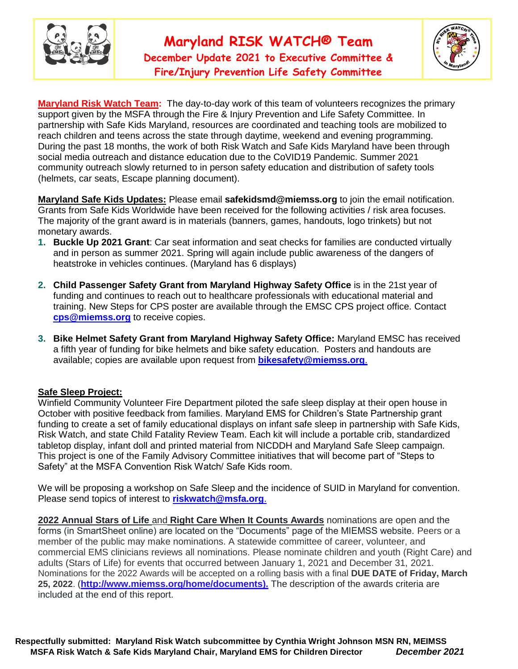

# **Maryland RISK WATCH® Team**

**December Update 2021 to Executive Committee & Fire/Injury Prevention Life Safety Committee** 



**Maryland Risk Watch Team:** The day-to-day work of this team of volunteers recognizes the primary support given by the MSFA through the Fire & Injury Prevention and Life Safety Committee. In partnership with Safe Kids Maryland, resources are coordinated and teaching tools are mobilized to reach children and teens across the state through daytime, weekend and evening programming. During the past 18 months, the work of both Risk Watch and Safe Kids Maryland have been through social media outreach and distance education due to the CoVID19 Pandemic. Summer 2021 community outreach slowly returned to in person safety education and distribution of safety tools (helmets, car seats, Escape planning document).

**Maryland Safe Kids Updates:** Please email **[safekidsmd@miemss.org](mailto:safekidsmd@miemss.org)** to join the email notification. Grants from Safe Kids Worldwide have been received for the following activities / risk area focuses. The majority of the grant award is in materials (banners, games, handouts, logo trinkets) but not monetary awards.

- **1. Buckle Up 2021 Grant**: Car seat information and seat checks for families are conducted virtually and in person as summer 2021. Spring will again include public awareness of the dangers of heatstroke in vehicles continues. (Maryland has 6 displays)
- **2. Child Passenger Safety Grant from Maryland Highway Safety Office** is in the 21st year of funding and continues to reach out to healthcare professionals with educational material and training. New Steps for CPS poster are available through the EMSC CPS project office. Contact **[cps@miemss.org](mailto:cps@miemss.org)** to receive copies.
- **3. Bike Helmet Safety Grant from Maryland Highway Safety Office:** Maryland EMSC has received a fifth year of funding for bike helmets and bike safety education. Posters and handouts are available; copies are available upon request from **[bikesafety@miemss.org](mailto:bikesafety@miemss.org)**.

#### **Safe Sleep Project:**

Winfield Community Volunteer Fire Department piloted the safe sleep display at their open house in October with positive feedback from families. Maryland EMS for Children's State Partnership grant funding to create a set of family educational displays on infant safe sleep in partnership with Safe Kids, Risk Watch, and state Child Fatality Review Team. Each kit will include a portable crib, standardized tabletop display, infant doll and printed material from NICDDH and Maryland Safe Sleep campaign. This project is one of the Family Advisory Committee initiatives that will become part of "Steps to Safety" at the MSFA Convention Risk Watch/ Safe Kids room.

We will be proposing a workshop on Safe Sleep and the incidence of SUID in Maryland for convention. Please send topics of interest to **[riskwatch@msfa.org](mailto:riskwatch@msfa.org)**.

**2022 Annual Stars of Life** and **Right Care When It Counts Awards** nominations are open and the forms (in SmartSheet online) are located on the "Documents" page of the MIEMSS website. Peers or a member of the public may make nominations. A statewide committee of career, volunteer, and commercial EMS clinicians reviews all nominations. Please nominate children and youth (Right Care) and adults (Stars of Life) for events that occurred between January 1, 2021 and December 31, 2021. Nominations for the 2022 Awards will be accepted on a rolling basis with a final **DUE DATE of Friday, March 25, 2022**. (**http://www.miemss.org/home/documents).** The description of the awards criteria are included at the end of this report.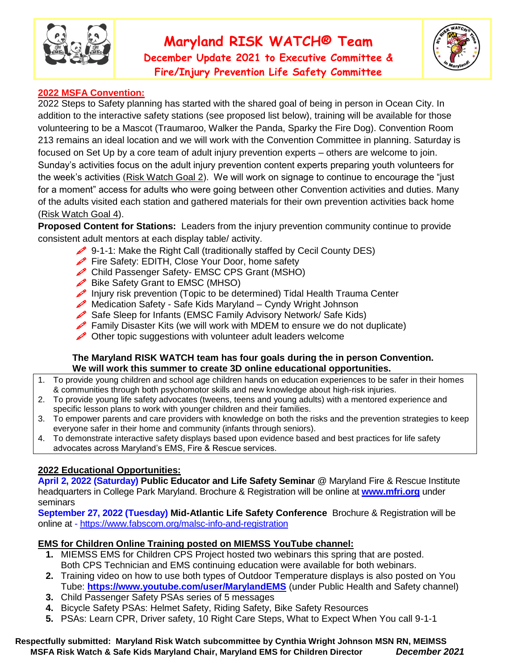

# **Maryland RISK WATCH® Team**

**December Update 2021 to Executive Committee & Fire/Injury Prevention Life Safety Committee** 



#### **2022 MSFA Convention:**

2022 Steps to Safety planning has started with the shared goal of being in person in Ocean City. In addition to the interactive safety stations (see proposed list below), training will be available for those volunteering to be a Mascot (Traumaroo, Walker the Panda, Sparky the Fire Dog). Convention Room 213 remains an ideal location and we will work with the Convention Committee in planning. Saturday is focused on Set Up by a core team of adult injury prevention experts – others are welcome to join. Sunday's activities focus on the adult injury prevention content experts preparing youth volunteers for the week's activities (Risk Watch Goal 2). We will work on signage to continue to encourage the "just for a moment" access for adults who were going between other Convention activities and duties. Many of the adults visited each station and gathered materials for their own prevention activities back home (Risk Watch Goal 4).

**Proposed Content for Stations:** Leaders from the injury prevention community continue to provide consistent adult mentors at each display table/ activity.

- 9-1-1: Make the Right Call (traditionally staffed by Cecil County DES)
- Fire Safety: EDITH, Close Your Door, home safety
- Child Passenger Safety- EMSC CPS Grant (MSHO)
- $\mathscr{D}$  Bike Safety Grant to EMSC (MHSO)
- Injury risk prevention (Topic to be determined) Tidal Health Trauma Center
- Medication Safety Safe Kids Maryland Cyndy Wright Johnson
- Safe Sleep for Infants (EMSC Family Advisory Network/ Safe Kids)
- Family Disaster Kits (we will work with MDEM to ensure we do not duplicate)
- Other topic suggestions with volunteer adult leaders welcome

#### **The Maryland RISK WATCH team has four goals during the in person Convention. We will work this summer to create 3D online educational opportunities.**

- 1. To provide young children and school age children hands on education experiences to be safer in their homes & communities through both psychomotor skills and new knowledge about high-risk injuries.
- 2. To provide young life safety advocates (tweens, teens and young adults) with a mentored experience and specific lesson plans to work with younger children and their families.
- 3. To empower parents and care providers with knowledge on both the risks and the prevention strategies to keep everyone safer in their home and community (infants through seniors).
- 4. To demonstrate interactive safety displays based upon evidence based and best practices for life safety advocates across Maryland's EMS, Fire & Rescue services.

#### **2022 Educational Opportunities:**

**April 2, 2022 (Saturday) Public Educator and Life Safety Seminar** @ Maryland Fire & Rescue Institute headquarters in College Park Maryland. Brochure & Registration will be online at **www.mfri.org** under seminars

**September 27, 2022 (Tuesday) Mid-Atlantic Life Safety Conference** Brochure & Registration will be online at - https://www.fabscom.org/malsc-info-and-registration

#### **EMS for Children Online Training posted on MIEMSS YouTube channel:**

- **1.** MIEMSS EMS for Children CPS Project hosted two webinars this spring that are posted. Both CPS Technician and EMS continuing education were available for both webinars.
- **2.** Training video on how to use both types of Outdoor Temperature displays is also posted on You Tube: **https://www.youtube.com/user/MarylandEMS** (under Public Health and Safety channel)
- **3.** Child Passenger Safety PSAs series of 5 messages
- **4.** Bicycle Safety PSAs: Helmet Safety, Riding Safety, Bike Safety Resources
- **5.** PSAs: Learn CPR, Driver safety, 10 Right Care Steps, What to Expect When You call 9-1-1

#### **Respectfully submitted: Maryland Risk Watch subcommittee by Cynthia Wright Johnson MSN RN, MEIMSS MSFA Risk Watch & Safe Kids Maryland Chair, Maryland EMS for Children Director** *December 2021*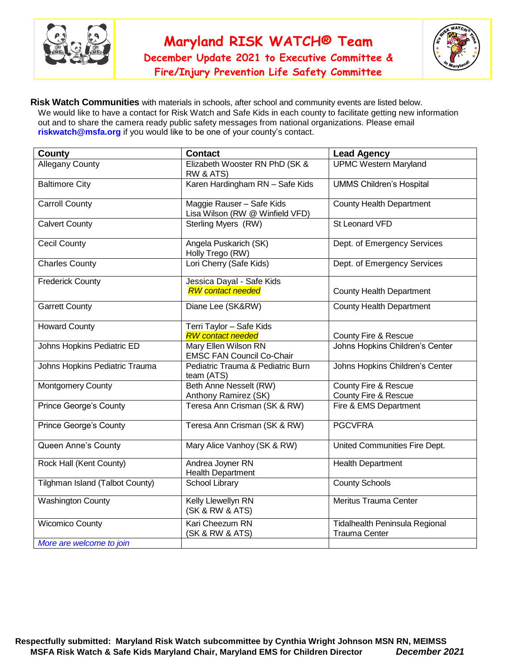

**December Update 2021 to Executive Committee & Fire/Injury Prevention Life Safety Committee** 



**Risk Watch Communities** with materials in schools, after school and community events are listed below. We would like to have a contact for Risk Watch and Safe Kids in each county to facilitate getting new information out and to share the camera ready public safety messages from national organizations. Please email **riskwatch@msfa.org** if you would like to be one of your county's contact.

| County                          | <b>Contact</b>                                               | <b>Lead Agency</b>                                     |
|---------------------------------|--------------------------------------------------------------|--------------------------------------------------------|
| <b>Allegany County</b>          | Elizabeth Wooster RN PhD (SK &<br>RW & ATS)                  | <b>UPMC Western Maryland</b>                           |
| <b>Baltimore City</b>           | Karen Hardingham RN - Safe Kids                              | <b>UMMS Children's Hospital</b>                        |
| <b>Carroll County</b>           | Maggie Rauser - Safe Kids<br>Lisa Wilson (RW @ Winfield VFD) | <b>County Health Department</b>                        |
| <b>Calvert County</b>           | Sterling Myers (RW)                                          | St Leonard VFD                                         |
| <b>Cecil County</b>             | Angela Puskarich (SK)<br>Holly Trego (RW)                    | Dept. of Emergency Services                            |
| <b>Charles County</b>           | Lori Cherry (Safe Kids)                                      | Dept. of Emergency Services                            |
| <b>Frederick County</b>         | Jessica Dayal - Safe Kids<br><b>RW</b> contact needed        | <b>County Health Department</b>                        |
| <b>Garrett County</b>           | Diane Lee (SK&RW)                                            | <b>County Health Department</b>                        |
| <b>Howard County</b>            | Terri Taylor - Safe Kids<br><b>RW</b> contact needed         | County Fire & Rescue                                   |
| Johns Hopkins Pediatric ED      | Mary Ellen Wilson RN<br><b>EMSC FAN Council Co-Chair</b>     | Johns Hopkins Children's Center                        |
| Johns Hopkins Pediatric Trauma  | Pediatric Trauma & Pediatric Burn<br>team (ATS)              | Johns Hopkins Children's Center                        |
| <b>Montgomery County</b>        | Beth Anne Nesselt (RW)<br>Anthony Ramirez (SK)               | County Fire & Rescue<br>County Fire & Rescue           |
| Prince George's County          | Teresa Ann Crisman (SK & RW)                                 | Fire & EMS Department                                  |
| Prince George's County          | Teresa Ann Crisman (SK & RW)                                 | <b>PGCVFRA</b>                                         |
| Queen Anne's County             | Mary Alice Vanhoy (SK & RW)                                  | United Communities Fire Dept.                          |
| Rock Hall (Kent County)         | Andrea Joyner RN<br><b>Health Department</b>                 | <b>Health Department</b>                               |
| Tilghman Island (Talbot County) | <b>School Library</b>                                        | <b>County Schools</b>                                  |
| <b>Washington County</b>        | Kelly Llewellyn RN<br>(SK & RW & ATS)                        | Meritus Trauma Center                                  |
| <b>Wicomico County</b>          | Kari Cheezum RN<br>(SK & RW & ATS)                           | Tidalhealth Peninsula Regional<br><b>Trauma Center</b> |
| More are welcome to join        |                                                              |                                                        |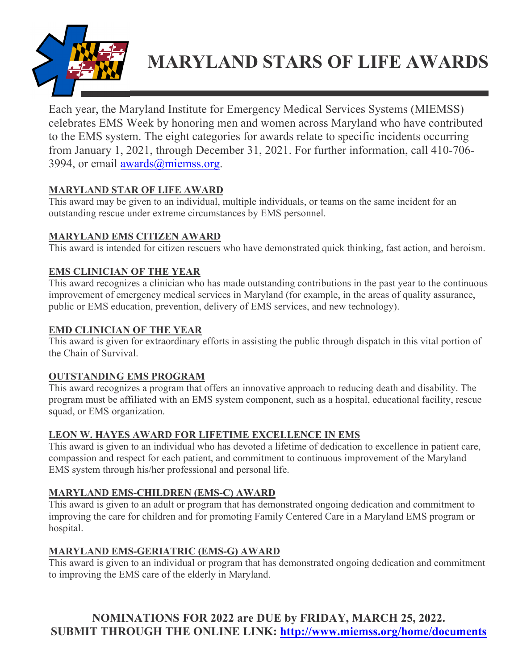

# **MARYLAND STARS OF LIFE AWARDS**

Each year, the Maryland Institute for Emergency Medical Services Systems (MIEMSS) celebrates EMS Week by honoring men and women across Maryland who have contributed to the EMS system. The eight categories for awards relate to specific incidents occurring from January 1, 2021, through December 31, 2021. For further information, call 410-706- 3994, or email awards $(\omega)$ miemss.org.

# **MARYLAND STAR OF LIFE AWARD**

This award may be given to an individual, multiple individuals, or teams on the same incident for an outstanding rescue under extreme circumstances by EMS personnel.

# **MARYLAND EMS CITIZEN AWARD**

This award is intended for citizen rescuers who have demonstrated quick thinking, fast action, and heroism.

# **EMS CLINICIAN OF THE YEAR**

This award recognizes a clinician who has made outstanding contributions in the past year to the continuous improvement of emergency medical services in Maryland (for example, in the areas of quality assurance, public or EMS education, prevention, delivery of EMS services, and new technology).

# **EMD CLINICIAN OF THE YEAR**

This award is given for extraordinary efforts in assisting the public through dispatch in this vital portion of the Chain of Survival.

#### **OUTSTANDING EMS PROGRAM**

This award recognizes a program that offers an innovative approach to reducing death and disability. The program must be affiliated with an EMS system component, such as a hospital, educational facility, rescue squad, or EMS organization.

#### **LEON W. HAYES AWARD FOR LIFETIME EXCELLENCE IN EMS**

This award is given to an individual who has devoted a lifetime of dedication to excellence in patient care, compassion and respect for each patient, and commitment to continuous improvement of the Maryland EMS system through his/her professional and personal life.

# **MARYLAND EMS-CHILDREN (EMS-C) AWARD**

This award is given to an adult or program that has demonstrated ongoing dedication and commitment to improving the care for children and for promoting Family Centered Care in a Maryland EMS program or hospital.

#### **MARYLAND EMS-GERIATRIC (EMS-G) AWARD**

This award is given to an individual or program that has demonstrated ongoing dedication and commitment to improving the EMS care of the elderly in Maryland.

**NOMINATIONS FOR 2022 are DUE by FRIDAY, MARCH 25, 2022. SUBMIT THROUGH THE ONLINE LINK: http://www.miemss.org/home/documents**